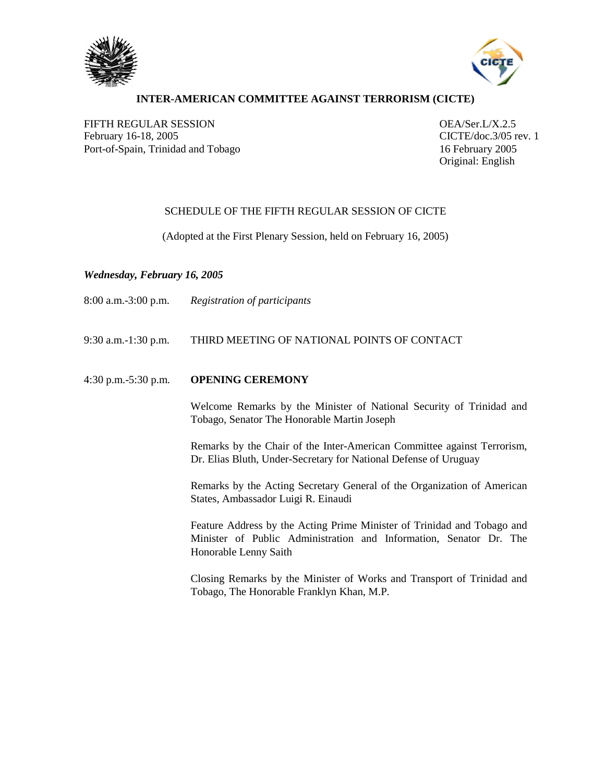



## **INTER-AMERICAN COMMITTEE AGAINST TERRORISM (CICTE)**

FIFTH REGULAR SESSION OEA/Ser.L/X.2.5 February 16-18, 2005 CICTE/doc.3/05 rev. 1 Port-of-Spain, Trinidad and Tobago 16 February 2005

Original: English

### SCHEDULE OF THE FIFTH REGULAR SESSION OF CICTE

(Adopted at the First Plenary Session, held on February 16, 2005)

### *Wednesday, February 16, 2005*

9:30 a.m.-1:30 p.m. THIRD MEETING OF NATIONAL POINTS OF CONTACT

#### 4:30 p.m.-5:30 p.m. **OPENING CEREMONY**

Welcome Remarks by the Minister of National Security of Trinidad and Tobago, Senator The Honorable Martin Joseph

Remarks by the Chair of the Inter-American Committee against Terrorism, Dr. Elias Bluth, Under-Secretary for National Defense of Uruguay

Remarks by the Acting Secretary General of the Organization of American States, Ambassador Luigi R. Einaudi

Feature Address by the Acting Prime Minister of Trinidad and Tobago and Minister of Public Administration and Information, Senator Dr. The Honorable Lenny Saith

Closing Remarks by the Minister of Works and Transport of Trinidad and Tobago, The Honorable Franklyn Khan, M.P.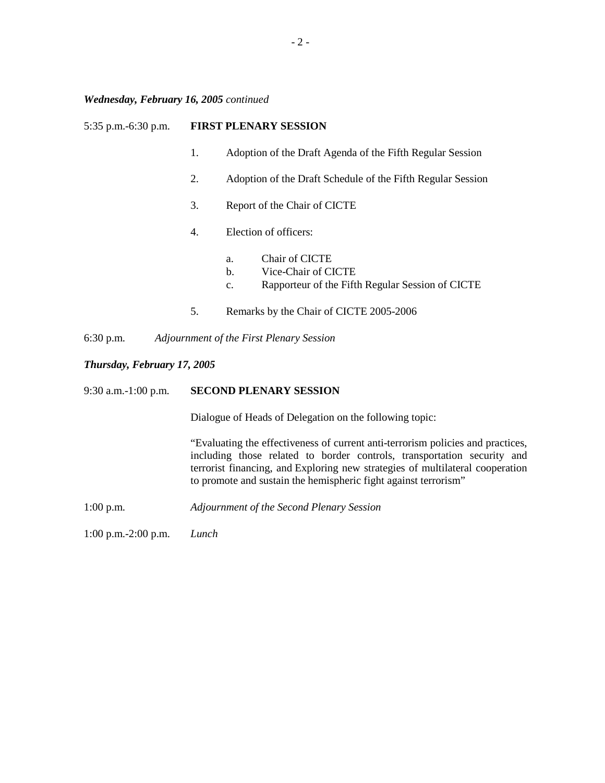# *Wednesday, February 16, 2005 continued*

| 5:35 p.m.-6:30 p.m.         |                                                                                                                                                                                                                                                                                                                | <b>FIRST PLENARY SESSION</b>                                                                                |  |  |  |  |
|-----------------------------|----------------------------------------------------------------------------------------------------------------------------------------------------------------------------------------------------------------------------------------------------------------------------------------------------------------|-------------------------------------------------------------------------------------------------------------|--|--|--|--|
|                             | 1.                                                                                                                                                                                                                                                                                                             | Adoption of the Draft Agenda of the Fifth Regular Session                                                   |  |  |  |  |
|                             | 2.                                                                                                                                                                                                                                                                                                             | Adoption of the Draft Schedule of the Fifth Regular Session                                                 |  |  |  |  |
|                             | 3.                                                                                                                                                                                                                                                                                                             | Report of the Chair of CICTE                                                                                |  |  |  |  |
|                             | 4.                                                                                                                                                                                                                                                                                                             | Election of officers:                                                                                       |  |  |  |  |
|                             |                                                                                                                                                                                                                                                                                                                | Chair of CICTE<br>a.<br>Vice-Chair of CICTE<br>b.<br>Rapporteur of the Fifth Regular Session of CICTE<br>c. |  |  |  |  |
|                             | 5.                                                                                                                                                                                                                                                                                                             | Remarks by the Chair of CICTE 2005-2006                                                                     |  |  |  |  |
| $6:30$ p.m.                 | Adjournment of the First Plenary Session                                                                                                                                                                                                                                                                       |                                                                                                             |  |  |  |  |
| Thursday, February 17, 2005 |                                                                                                                                                                                                                                                                                                                |                                                                                                             |  |  |  |  |
| 9:30 a.m.-1:00 p.m.         | <b>SECOND PLENARY SESSION</b>                                                                                                                                                                                                                                                                                  |                                                                                                             |  |  |  |  |
|                             | Dialogue of Heads of Delegation on the following topic:                                                                                                                                                                                                                                                        |                                                                                                             |  |  |  |  |
|                             | "Evaluating the effectiveness of current anti-terrorism policies and practices,<br>including those related to border controls, transportation security and<br>terrorist financing, and Exploring new strategies of multilateral cooperation<br>to promote and sustain the hemispheric fight against terrorism" |                                                                                                             |  |  |  |  |
| $1:00$ p.m.                 |                                                                                                                                                                                                                                                                                                                | Adjournment of the Second Plenary Session                                                                   |  |  |  |  |

1:00 p.m.-2:00 p.m. *Lunch*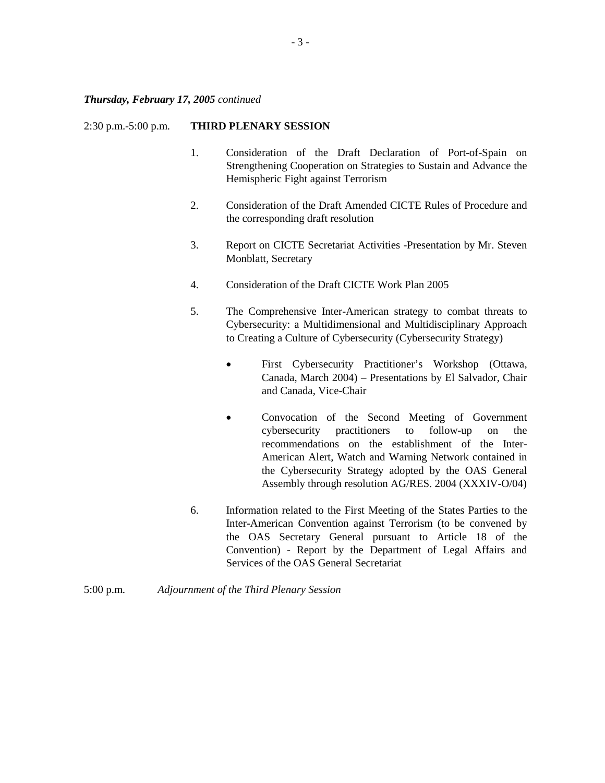#### 2:30 p.m.-5:00 p.m. **THIRD PLENARY SESSION**

- 1. Consideration of the Draft Declaration of Port-of-Spain on Strengthening Cooperation on Strategies to Sustain and Advance the Hemispheric Fight against Terrorism
- 2. Consideration of the Draft Amended CICTE Rules of Procedure and the corresponding draft resolution
- 3. Report on CICTE Secretariat Activities -Presentation by Mr. Steven Monblatt, Secretary
- 4. Consideration of the Draft CICTE Work Plan 2005
- 5. The Comprehensive Inter-American strategy to combat threats to Cybersecurity: a Multidimensional and Multidisciplinary Approach to Creating a Culture of Cybersecurity (Cybersecurity Strategy)
	- First Cybersecurity Practitioner's Workshop (Ottawa, Canada, March 2004) – Presentations by El Salvador, Chair and Canada, Vice-Chair
	- Convocation of the Second Meeting of Government cybersecurity practitioners to follow-up on the recommendations on the establishment of the Inter-American Alert, Watch and Warning Network contained in the Cybersecurity Strategy adopted by the OAS General Assembly through resolution AG/RES. 2004 (XXXIV-O/04)
- 6. Information related to the First Meeting of the States Parties to the Inter-American Convention against Terrorism (to be convened by the OAS Secretary General pursuant to Article 18 of the Convention) - Report by the Department of Legal Affairs and Services of the OAS General Secretariat
- 5:00 p.m. *Adjournment of the Third Plenary Session*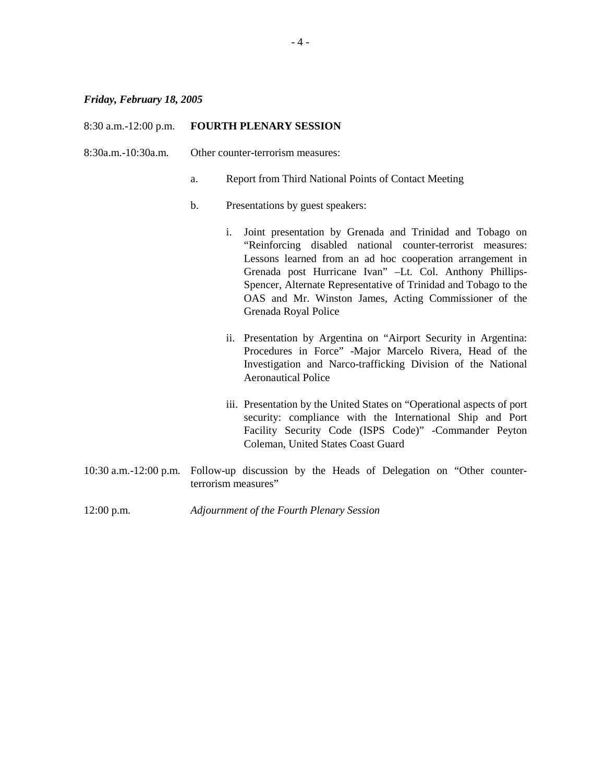# *Friday, February 18, 2005*

| $8:30$ a.m.-12:00 p.m. | <b>FOURTH PLENARY SESSION</b>     |                                                                                                                                                                                                                                                                                                                                                                                                     |  |  |  |
|------------------------|-----------------------------------|-----------------------------------------------------------------------------------------------------------------------------------------------------------------------------------------------------------------------------------------------------------------------------------------------------------------------------------------------------------------------------------------------------|--|--|--|
| 8:30a.m.-10:30a.m.     | Other counter-terrorism measures: |                                                                                                                                                                                                                                                                                                                                                                                                     |  |  |  |
|                        | a.                                | Report from Third National Points of Contact Meeting                                                                                                                                                                                                                                                                                                                                                |  |  |  |
|                        | $b$ .                             | Presentations by guest speakers:                                                                                                                                                                                                                                                                                                                                                                    |  |  |  |
|                        | i.                                | Joint presentation by Grenada and Trinidad and Tobago on<br>"Reinforcing disabled national counter-terrorist measures:<br>Lessons learned from an ad hoc cooperation arrangement in<br>Grenada post Hurricane Ivan" -Lt. Col. Anthony Phillips-<br>Spencer, Alternate Representative of Trinidad and Tobago to the<br>OAS and Mr. Winston James, Acting Commissioner of the<br>Grenada Royal Police |  |  |  |
|                        |                                   | ii. Presentation by Argentina on "Airport Security in Argentina:<br>Procedures in Force" -Major Marcelo Rivera, Head of the<br>Investigation and Narco-trafficking Division of the National<br><b>Aeronautical Police</b>                                                                                                                                                                           |  |  |  |
|                        |                                   | iii. Presentation by the United States on "Operational aspects of port<br>security: compliance with the International Ship and Port<br>Facility Security Code (ISPS Code)" -Commander Peyton<br>Coleman, United States Coast Guard                                                                                                                                                                  |  |  |  |
|                        | terrorism measures"               | 10:30 a.m.-12:00 p.m. Follow-up discussion by the Heads of Delegation on "Other counter-                                                                                                                                                                                                                                                                                                            |  |  |  |

12:00 p.m. *Adjournment of the Fourth Plenary Session*